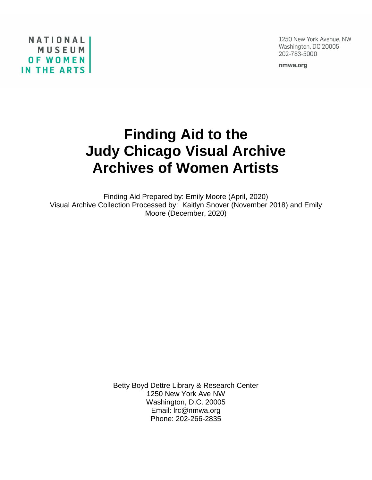1250 New York Avenue, NW Washington, DC 20005 202-783-5000

nmwa.org

NATIONALI MUSEUM **OF WOMEN IN THE ARTS** 

# **Finding Aid to the Judy Chicago Visual Archive Archives of Women Artists**

Finding Aid Prepared by: Emily Moore (April, 2020) Visual Archive Collection Processed by: Kaitlyn Snover (November 2018) and Emily Moore (December, 2020)

> Betty Boyd Dettre Library & Research Center 1250 New York Ave NW Washington, D.C. 20005 Email: lrc@nmwa.org Phone: 202-266-2835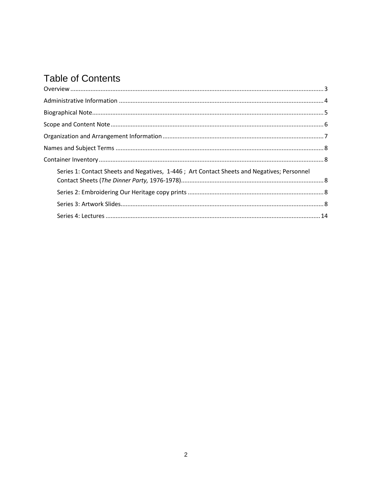# **Table of Contents**

| Series 1: Contact Sheets and Negatives, 1-446; Art Contact Sheets and Negatives; Personnel |  |
|--------------------------------------------------------------------------------------------|--|
|                                                                                            |  |
|                                                                                            |  |
|                                                                                            |  |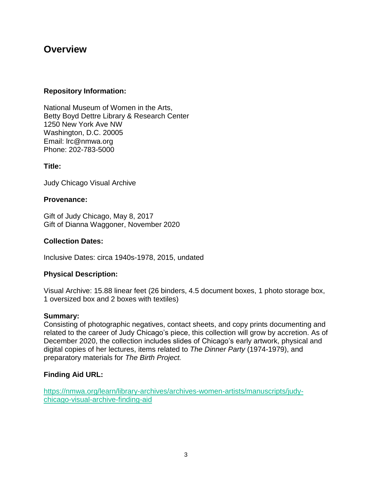### <span id="page-2-0"></span>**Overview**

#### **Repository Information:**

National Museum of Women in the Arts, Betty Boyd Dettre Library & Research Center 1250 New York Ave NW Washington, D.C. 20005 Email: lrc@nmwa.org Phone: 202-783-5000

#### **Title:**

Judy Chicago Visual Archive

#### **Provenance:**

Gift of Judy Chicago, May 8, 2017 Gift of Dianna Waggoner, November 2020

#### **Collection Dates:**

Inclusive Dates: circa 1940s-1978, 2015, undated

#### **Physical Description:**

Visual Archive: 15.88 linear feet (26 binders, 4.5 document boxes, 1 photo storage box, 1 oversized box and 2 boxes with textiles)

#### **Summary:**

Consisting of photographic negatives, contact sheets, and copy prints documenting and related to the career of Judy Chicago's piece, this collection will grow by accretion. As of December 2020, the collection includes slides of Chicago's early artwork, physical and digital copies of her lectures, items related to *The Dinner Party* (1974-1979), and preparatory materials for *The Birth Project.* 

#### **Finding Aid URL:**

[https://nmwa.org/learn/library-archives/archives-women-artists/manuscripts/judy](https://nmwa.org/learn/library-archives/archives-women-artists/manuscripts/judy-chicago-visual-archive-finding-aid)[chicago-visual-archive-finding-aid](https://nmwa.org/learn/library-archives/archives-women-artists/manuscripts/judy-chicago-visual-archive-finding-aid)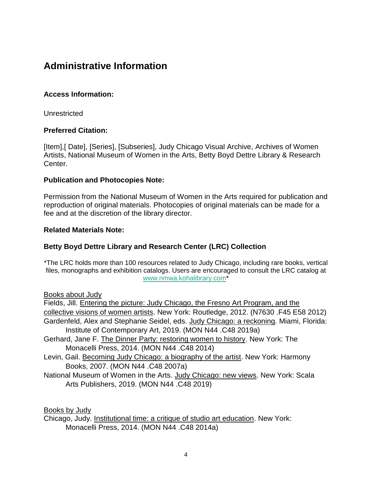# <span id="page-3-0"></span>**Administrative Information**

#### **Access Information:**

Unrestricted

#### **Preferred Citation:**

[Item],[ Date], [Series], [Subseries], Judy Chicago Visual Archive, Archives of Women Artists, National Museum of Women in the Arts, Betty Boyd Dettre Library & Research Center.

#### **Publication and Photocopies Note:**

Permission from the National Museum of Women in the Arts required for publication and reproduction of original materials. Photocopies of original materials can be made for a fee and at the discretion of the library director.

#### **Related Materials Note:**

#### **Betty Boyd Dettre Library and Research Center (LRC) Collection**

\*The LRC holds more than 100 resources related to Judy Chicago, including rare books, vertical files, monographs and exhibition catalogs. Users are encouraged to consult the LRC catalog at [www.nmwa.kohalibrary.com\\*](http://www.nmwa.kohalibrary.com/)

Books about Judy

Fields, Jill. Entering the picture: Judy Chicago, the Fresno Art Program, and the collective visions of women artists. New York: Routledge, 2012. (N7630 .F45 E58 2012) Gardenfeld, Alex and Stephanie Seidel, eds. Judy Chicago: a reckoning. Miami, Florida: Institute of Contemporary Art, 2019. (MON N44 .C48 2019a)

- Gerhard, Jane F. The Dinner Party: restoring women to history. New York: The Monacelli Press, 2014. (MON N44 .C48 2014)
- Levin, Gail. Becoming Judy Chicago: a biography of the artist. New York: Harmony Books, 2007. (MON N44 .C48 2007a)
- National Museum of Women in the Arts. Judy Chicago: new views. New York: Scala Arts Publishers, 2019. (MON N44 .C48 2019)

Books by Judy

Chicago, Judy. Institutional time: a critique of studio art education. New York: Monacelli Press, 2014. (MON N44 .C48 2014a)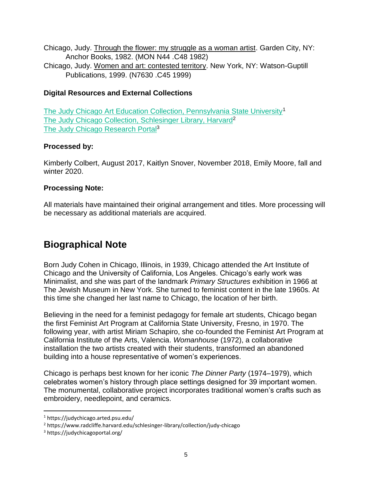Chicago, Judy. Through the flower: my struggle as a woman artist. Garden City, NY: Anchor Books, 1982. (MON N44 .C48 1982)

Chicago, Judy. Women and art: contested territory. New York, NY: Watson-Guptill Publications, 1999. (N7630 .C45 1999)

#### **Digital Resources and External Collections**

[The Judy Chicago Art Education Collection, Pennsylvania State University](https://judychicago.arted.psu.edu/)<sup>1</sup> [The Judy Chicago Collection, Schlesinger Library, Harvard](https://www.radcliffe.harvard.edu/schlesinger-library/collection/judy-chicago)<sup>2</sup> [The Judy Chicago Research Portal](https://judychicagoportal.org/)<sup>3</sup>

#### **Processed by:**

Kimberly Colbert, August 2017, Kaitlyn Snover, November 2018, Emily Moore, fall and winter 2020.

#### **Processing Note:**

All materials have maintained their original arrangement and titles. More processing will be necessary as additional materials are acquired.

# <span id="page-4-0"></span>**Biographical Note**

Born Judy Cohen in Chicago, Illinois, in 1939, Chicago attended the Art Institute of Chicago and the University of California, Los Angeles. Chicago's early work was Minimalist, and she was part of the landmark *Primary Structures* exhibition in 1966 at The Jewish Museum in New York. She turned to feminist content in the late 1960s. At this time she changed her last name to Chicago, the location of her birth.

Believing in the need for a feminist pedagogy for female art students, Chicago began the first Feminist Art Program at California State University, Fresno, in 1970. The following year, with artist Miriam Schapiro, she co-founded the Feminist Art Program at California Institute of the Arts, Valencia. *Womanhouse* (1972), a collaborative installation the two artists created with their students, transformed an abandoned building into a house representative of women's experiences.

Chicago is perhaps best known for her iconic *The Dinner Party* (1974–1979), which celebrates women's history through place settings designed for 39 important women. The monumental, collaborative project incorporates traditional women's crafts such as embroidery, needlepoint, and ceramics.

 $\overline{\phantom{a}}$ 

<sup>1</sup> https://judychicago.arted.psu.edu/

<sup>2</sup> https://www.radcliffe.harvard.edu/schlesinger-library/collection/judy-chicago

<sup>3</sup> https://judychicagoportal.org/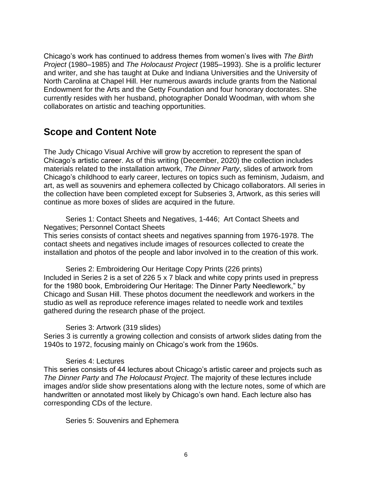Chicago's work has continued to address themes from women's lives with *The Birth Project* (1980–1985) and *The Holocaust Project* (1985–1993). She is a prolific lecturer and writer, and she has taught at Duke and Indiana Universities and the University of North Carolina at Chapel Hill. Her numerous awards include grants from the National Endowment for the Arts and the Getty Foundation and four honorary doctorates. She currently resides with her husband, photographer Donald Woodman, with whom she collaborates on artistic and teaching opportunities.

## <span id="page-5-0"></span>**Scope and Content Note**

The Judy Chicago Visual Archive will grow by accretion to represent the span of Chicago's artistic career. As of this writing (December, 2020) the collection includes materials related to the installation artwork, *The Dinner Party*, slides of artwork from Chicago's childhood to early career, lectures on topics such as feminism, Judaism, and art, as well as souvenirs and ephemera collected by Chicago collaborators. All series in the collection have been completed except for Subseries 3, Artwork, as this series will continue as more boxes of slides are acquired in the future.

Series 1: Contact Sheets and Negatives, 1-446; Art Contact Sheets and Negatives; Personnel Contact Sheets This series consists of contact sheets and negatives spanning from 1976-1978. The contact sheets and negatives include images of resources collected to create the

installation and photos of the people and labor involved in to the creation of this work.

Series 2: Embroidering Our Heritage Copy Prints (226 prints) Included in Series 2 is a set of 226 5 x 7 black and white copy prints used in prepress for the 1980 book, Embroidering Our Heritage: The Dinner Party Needlework," by Chicago and Susan Hill. These photos document the needlework and workers in the studio as well as reproduce reference images related to needle work and textiles gathered during the research phase of the project.

#### Series 3: Artwork (319 slides)

Series 3 is currently a growing collection and consists of artwork slides dating from the 1940s to 1972, focusing mainly on Chicago's work from the 1960s.

#### Series 4: Lectures

This series consists of 44 lectures about Chicago's artistic career and projects such as *The Dinner Party* and *The Holocaust Project*. The majority of these lectures include images and/or slide show presentations along with the lecture notes, some of which are handwritten or annotated most likely by Chicago's own hand. Each lecture also has corresponding CDs of the lecture.

#### Series 5: Souvenirs and Ephemera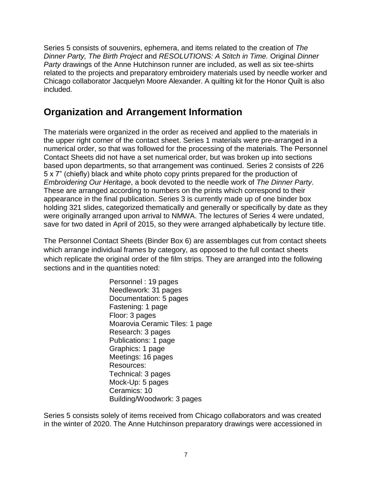Series 5 consists of souvenirs, ephemera, and items related to the creation of *The Dinner Party, The Birth Project* and *RESOLUTIONS: A Stitch in Time.* Original *Dinner Party* drawings of the Anne Hutchinson runner are included, as well as six tee-shirts related to the projects and preparatory embroidery materials used by needle worker and Chicago collaborator Jacquelyn Moore Alexander. A quilting kit for the Honor Quilt is also included.

# <span id="page-6-0"></span>**Organization and Arrangement Information**

The materials were organized in the order as received and applied to the materials in the upper right corner of the contact sheet. Series 1 materials were pre-arranged in a numerical order, so that was followed for the processing of the materials. The Personnel Contact Sheets did not have a set numerical order, but was broken up into sections based upon departments, so that arrangement was continued. Series 2 consists of 226 5 x 7" (chiefly) black and white photo copy prints prepared for the production of *Embroidering Our Heritage*, a book devoted to the needle work of *The Dinner Party*. These are arranged according to numbers on the prints which correspond to their appearance in the final publication. Series 3 is currently made up of one binder box holding 321 slides, categorized thematically and generally or specifically by date as they were originally arranged upon arrival to NMWA. The lectures of Series 4 were undated, save for two dated in April of 2015, so they were arranged alphabetically by lecture title.

The Personnel Contact Sheets (Binder Box 6) are assemblages cut from contact sheets which arrange individual frames by category, as opposed to the full contact sheets which replicate the original order of the film strips. They are arranged into the following sections and in the quantities noted:

> Personnel : 19 pages Needlework: 31 pages Documentation: 5 pages Fastening: 1 page Floor: 3 pages Moarovia Ceramic Tiles: 1 page Research: 3 pages Publications: 1 page Graphics: 1 page Meetings: 16 pages Resources: Technical: 3 pages Mock-Up: 5 pages Ceramics: 10 Building/Woodwork: 3 pages

Series 5 consists solely of items received from Chicago collaborators and was created in the winter of 2020. The Anne Hutchinson preparatory drawings were accessioned in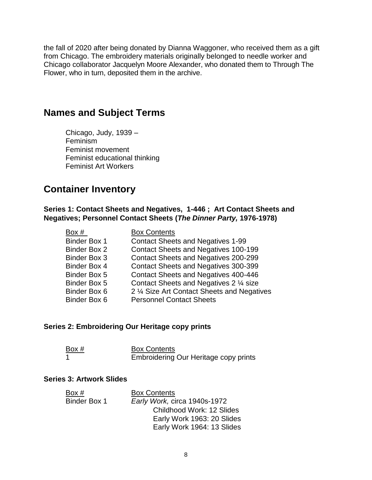the fall of 2020 after being donated by Dianna Waggoner, who received them as a gift from Chicago. The embroidery materials originally belonged to needle worker and Chicago collaborator Jacquelyn Moore Alexander, who donated them to Through The Flower, who in turn, deposited them in the archive.

### <span id="page-7-0"></span>**Names and Subject Terms**

Chicago, Judy, 1939 – Feminism Feminist movement Feminist educational thinking Feminist Art Workers

### <span id="page-7-1"></span>**Container Inventory**

<span id="page-7-2"></span>**Series 1: Contact Sheets and Negatives, 1-446 ; Art Contact Sheets and Negatives; Personnel Contact Sheets (***The Dinner Party,* **1976-1978)**

| <b>Box Contents</b>                         |
|---------------------------------------------|
| <b>Contact Sheets and Negatives 1-99</b>    |
| <b>Contact Sheets and Negatives 100-199</b> |
| Contact Sheets and Negatives 200-299        |
| Contact Sheets and Negatives 300-399        |
| Contact Sheets and Negatives 400-446        |
| Contact Sheets and Negatives 2 1/4 size     |
| 2 % Size Art Contact Sheets and Negatives   |
| <b>Personnel Contact Sheets</b>             |
|                                             |

#### <span id="page-7-3"></span>**Series 2: Embroidering Our Heritage copy prints**

| Box # | <b>Box Contents</b>                   |
|-------|---------------------------------------|
|       | Embroidering Our Heritage copy prints |

#### <span id="page-7-4"></span>**Series 3: Artwork Slides**

| Box #        | <b>Box Contents</b>          |
|--------------|------------------------------|
| Binder Box 1 | Early Work, circa 1940s-1972 |
|              | Childhood Work: 12 Slides    |
|              | Early Work 1963: 20 Slides   |
|              | Early Work 1964: 13 Slides   |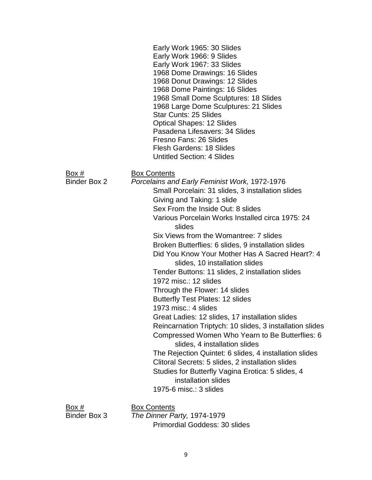Early Work 1965: 30 Slides Early Work 1966: 9 Slides Early Work 1967: 33 Slides 1968 Dome Drawings: 16 Slides 1968 Donut Drawings: 12 Slides 1968 Dome Paintings: 16 Slides 1968 Small Dome Sculptures: 18 Slides 1968 Large Dome Sculptures: 21 Slides Star Cunts: 25 Slides Optical Shapes: 12 Slides Pasadena Lifesavers: 34 Slides Fresno Fans: 26 Slides Flesh Gardens: 18 Slides Untitled Section: 4 Slides

Box # Box Contents

Binder Box 2 *Porcelains and Early Feminist Work,* 1972-1976 Small Porcelain: 31 slides, 3 installation slides Giving and Taking: 1 slide Sex From the Inside Out: 8 slides Various Porcelain Works Installed circa 1975: 24 slides Six Views from the Womantree: 7 slides Broken Butterflies: 6 slides, 9 installation slides Did You Know Your Mother Has A Sacred Heart?: 4 slides, 10 installation slides Tender Buttons: 11 slides, 2 installation slides 1972 misc.: 12 slides Through the Flower: 14 slides Butterfly Test Plates: 12 slides 1973 misc.: 4 slides Great Ladies: 12 slides, 17 installation slides Reincarnation Triptych: 10 slides, 3 installation slides Compressed Women Who Yearn to Be Butterflies: 6 slides, 4 installation slides The Rejection Quintet: 6 slides, 4 installation slides Clitoral Secrets: 5 slides, 2 installation slides Studies for Butterfly Vagina Erotica: 5 slides, 4 installation slides 1975-6 misc.: 3 slides

Box # Box Contents

Binder Box 3 *The Dinner Party,* 1974-1979 Primordial Goddess: 30 slides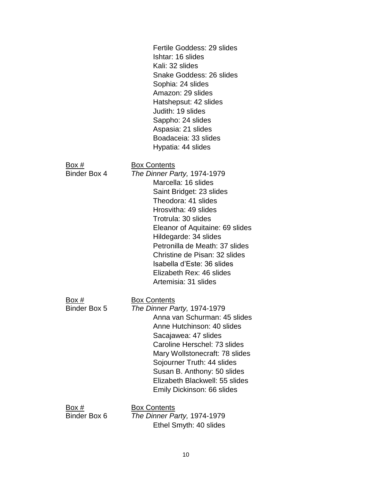|                       | Fertile Goddess: 29 slides<br>Ishtar: 16 slides<br>Kali: 32 slides<br>Snake Goddess: 26 slides<br>Sophia: 24 slides<br>Amazon: 29 slides<br>Hatshepsut: 42 slides<br>Judith: 19 slides<br>Sappho: 24 slides<br>Aspasia: 21 slides<br>Boadaceia: 33 slides<br>Hypatia: 44 slides                                                                                                              |
|-----------------------|----------------------------------------------------------------------------------------------------------------------------------------------------------------------------------------------------------------------------------------------------------------------------------------------------------------------------------------------------------------------------------------------|
| Box #<br>Binder Box 4 | <b>Box Contents</b><br>The Dinner Party, 1974-1979<br>Marcella: 16 slides<br>Saint Bridget: 23 slides<br>Theodora: 41 slides<br>Hrosvitha: 49 slides<br>Trotrula: 30 slides<br>Eleanor of Aquitaine: 69 slides<br>Hildegarde: 34 slides<br>Petronilla de Meath: 37 slides<br>Christine de Pisan: 32 slides<br>Isabella d'Este: 36 slides<br>Elizabeth Rex: 46 slides<br>Artemisia: 31 slides |
| Box #<br>Binder Box 5 | <b>Box Contents</b><br>The Dinner Party, 1974-1979<br>Anna van Schurman: 45 slides<br>Anne Hutchinson: 40 slides<br>Sacajawea: 47 slides<br>Caroline Herschel: 73 slides<br>Mary Wollstonecraft: 78 slides<br>Sojourner Truth: 44 slides<br>Susan B. Anthony: 50 slides<br>Elizabeth Blackwell: 55 slides<br>Emily Dickinson: 66 slides                                                      |
| Box #<br>Binder Box 6 | <b>Box Contents</b><br>The Dinner Party, 1974-1979<br>Ethel Smyth: 40 slides                                                                                                                                                                                                                                                                                                                 |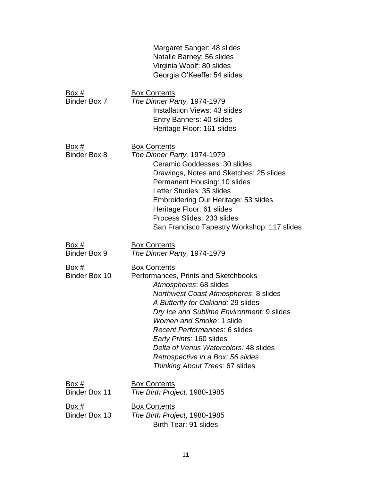|                                      | Margaret Sanger: 48 slides<br>Natalie Barney: 56 slides<br>Virginia Woolf: 80 slides<br>Georgia O'Keeffe: 54 slides                                                                                                                                                                                                                                                                                                                |
|--------------------------------------|------------------------------------------------------------------------------------------------------------------------------------------------------------------------------------------------------------------------------------------------------------------------------------------------------------------------------------------------------------------------------------------------------------------------------------|
| Box #<br>Binder Box 7                | <b>Box Contents</b><br>The Dinner Party, 1974-1979<br><b>Installation Views: 43 slides</b><br>Entry Banners: 40 slides<br>Heritage Floor: 161 slides                                                                                                                                                                                                                                                                               |
| Box #<br><b>Binder Box 8</b>         | <b>Box Contents</b><br>The Dinner Party, 1974-1979<br>Ceramic Goddesses: 30 slides<br>Drawings, Notes and Sketches: 25 slides<br>Permanent Housing: 10 slides<br>Letter Studies: 35 slides<br>Embroidering Our Heritage: 53 slides<br>Heritage Floor: 61 slides<br>Process Slides: 233 slides<br>San Francisco Tapestry Workshop: 117 slides                                                                                       |
| Box #<br><b>Binder Box 9</b>         | <b>Box Contents</b><br>The Dinner Party, 1974-1979                                                                                                                                                                                                                                                                                                                                                                                 |
| Box #<br>Binder Box 10               | <b>Box Contents</b><br>Performances, Prints and Sketchbooks<br>Atmospheres: 68 slides<br>Northwest Coast Atmospheres: 8 slides<br>A Butterfly for Oakland: 29 slides<br>Dry Ice and Sublime Environment: 9 slides<br>Women and Smoke: 1 slide<br><b>Recent Performances: 6 slides</b><br>Early Prints: 160 slides<br>Delta of Venus Watercolors: 48 slides<br>Retrospective in a Box: 56 slides<br>Thinking About Trees: 67 slides |
| Box #<br>Binder Box 11               | <b>Box Contents</b><br>The Birth Project, 1980-1985                                                                                                                                                                                                                                                                                                                                                                                |
| <u>Box #</u><br><b>Binder Box 13</b> | <b>Box Contents</b><br>The Birth Project, 1980-1985<br>Birth Tear: 91 slides                                                                                                                                                                                                                                                                                                                                                       |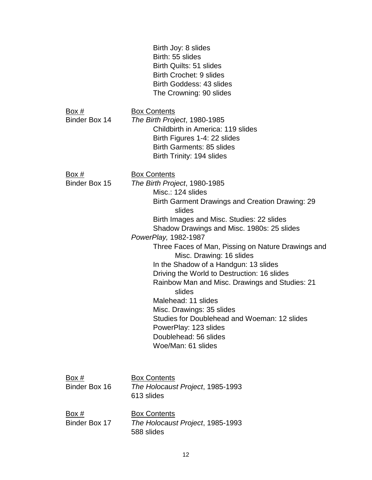|                               | Birth Joy: 8 slides<br>Birth: 55 slides<br>Birth Quilts: 51 slides<br>Birth Crochet: 9 slides<br>Birth Goddess: 43 slides<br>The Crowning: 90 slides                                                                                                                                                                                                                                                                                                                                                                                                                                                                                                                              |
|-------------------------------|-----------------------------------------------------------------------------------------------------------------------------------------------------------------------------------------------------------------------------------------------------------------------------------------------------------------------------------------------------------------------------------------------------------------------------------------------------------------------------------------------------------------------------------------------------------------------------------------------------------------------------------------------------------------------------------|
| Box #<br>Binder Box 14        | <b>Box Contents</b><br>The Birth Project, 1980-1985<br>Childbirth in America: 119 slides<br>Birth Figures 1-4: 22 slides<br><b>Birth Garments: 85 slides</b><br>Birth Trinity: 194 slides                                                                                                                                                                                                                                                                                                                                                                                                                                                                                         |
| <u>Box #</u><br>Binder Box 15 | <b>Box Contents</b><br>The Birth Project, 1980-1985<br>Misc.: 124 slides<br><b>Birth Garment Drawings and Creation Drawing: 29</b><br>slides<br>Birth Images and Misc. Studies: 22 slides<br>Shadow Drawings and Misc. 1980s: 25 slides<br>PowerPlay, 1982-1987<br>Three Faces of Man, Pissing on Nature Drawings and<br>Misc. Drawing: 16 slides<br>In the Shadow of a Handgun: 13 slides<br>Driving the World to Destruction: 16 slides<br>Rainbow Man and Misc. Drawings and Studies: 21<br>slides<br>Malehead: 11 slides<br>Misc. Drawings: 35 slides<br>Studies for Doublehead and Woeman: 12 slides<br>PowerPlay: 123 slides<br>Doublehead: 56 slides<br>Woe/Man: 61 slides |
| <u>Box #</u><br>Binder Box 16 | <b>Box Contents</b><br>The Holocaust Project, 1985-1993<br>613 slides                                                                                                                                                                                                                                                                                                                                                                                                                                                                                                                                                                                                             |
| <u>Box #</u><br>Binder Box 17 | <b>Box Contents</b><br>The Holocaust Project, 1985-1993<br>588 slides                                                                                                                                                                                                                                                                                                                                                                                                                                                                                                                                                                                                             |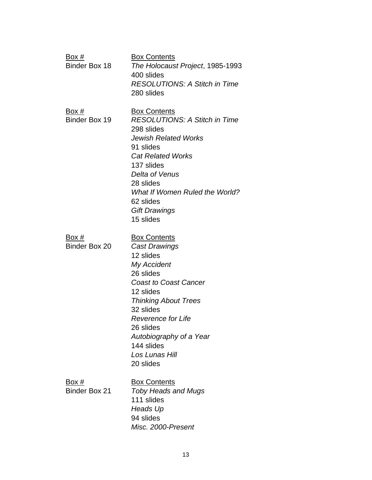| Box #<br>Binder Box 18        | <b>Box Contents</b><br>The Holocaust Project, 1985-1993<br>400 slides<br><b>RESOLUTIONS: A Stitch in Time</b><br>280 slides                                                                                                                                                                     |
|-------------------------------|-------------------------------------------------------------------------------------------------------------------------------------------------------------------------------------------------------------------------------------------------------------------------------------------------|
| <u>Box #</u><br>Binder Box 19 | <b>Box Contents</b><br><b>RESOLUTIONS: A Stitch in Time</b><br>298 slides<br><b>Jewish Related Works</b><br>91 slides<br><b>Cat Related Works</b><br>137 slides<br>Delta of Venus<br>28 slides<br>What If Women Ruled the World?<br>62 slides<br><b>Gift Drawings</b><br>15 slides              |
| Box #<br>Binder Box 20        | <b>Box Contents</b><br><b>Cast Drawings</b><br>12 slides<br>My Accident<br>26 slides<br><b>Coast to Coast Cancer</b><br>12 slides<br><b>Thinking About Trees</b><br>32 slides<br><b>Reverence for Life</b><br>26 slides<br>Autobiography of a Year<br>144 slides<br>Los Lunas Hill<br>20 slides |
| Box #<br><b>Binder Box 21</b> | <b>Box Contents</b><br><b>Toby Heads and Mugs</b><br>111 slides<br>Heads Up<br>94 slides<br>Misc. 2000-Present                                                                                                                                                                                  |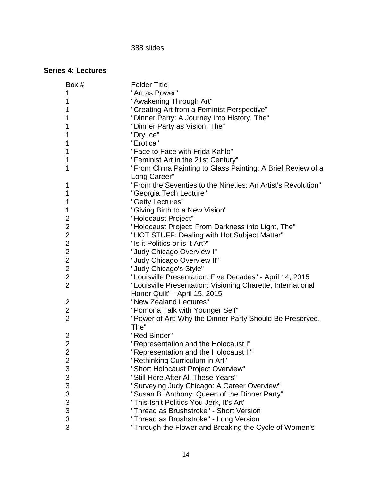#### slides

#### <span id="page-13-0"></span>**Series 4: Lectures**

| Box #            | <b>Folder Title</b>                                          |
|------------------|--------------------------------------------------------------|
| 1                | "Art as Power"                                               |
| 1                | "Awakening Through Art"                                      |
| 1                | "Creating Art from a Feminist Perspective"                   |
| 1                | "Dinner Party: A Journey Into History, The"                  |
| 1                | "Dinner Party as Vision, The"                                |
| 1                | "Dry Ice"                                                    |
| 1                | "Erotica"                                                    |
| 1                | "Face to Face with Frida Kahlo"                              |
| 1                | "Feminist Art in the 21st Century"                           |
| 1                | "From China Painting to Glass Painting: A Brief Review of a  |
|                  | Long Career"                                                 |
| 1                | "From the Seventies to the Nineties: An Artist's Revolution" |
| 1                | "Georgia Tech Lecture"                                       |
| 1                | "Getty Lectures"                                             |
| 1                | "Giving Birth to a New Vision"                               |
| 2                | "Holocaust Project"                                          |
| $\overline{c}$   | "Holocaust Project: From Darkness into Light, The"           |
| $\overline{2}$   | "HOT STUFF: Dealing with Hot Subject Matter"                 |
| $\overline{2}$   | "Is it Politics or is it Art?"                               |
| $\overline{c}$   | "Judy Chicago Overview I"                                    |
| $\overline{2}$   | "Judy Chicago Overview II"                                   |
| $\boldsymbol{2}$ | "Judy Chicago's Style"                                       |
| $\mathbf{2}$     | "Louisville Presentation: Five Decades" - April 14, 2015     |
| $\overline{2}$   | "Louisville Presentation: Visioning Charette, International  |
|                  | Honor Quilt" - April 15, 2015                                |
| 2                | "New Zealand Lectures"                                       |
| $\mathbf{2}$     | "Pomona Talk with Younger Self"                              |
| $\overline{2}$   | "Power of Art: Why the Dinner Party Should Be Preserved,     |
|                  | The"                                                         |
| $\overline{c}$   | "Red Binder"                                                 |
| $\overline{2}$   | "Representation and the Holocaust I"                         |
| $\overline{2}$   | "Representation and the Holocaust II"                        |
| $\overline{2}$   | "Rethinking Curriculum in Art"                               |
| 3                | "Short Holocaust Project Overview"                           |
| 3                | "Still Here After All These Years"                           |
| 3                | "Surveying Judy Chicago: A Career Overview"                  |
| 3                | "Susan B. Anthony: Queen of the Dinner Party"                |
| 3                | "This Isn't Politics You Jerk, It's Art"                     |
| 3                | "Thread as Brushstroke" - Short Version                      |
| 3                | "Thread as Brushstroke" - Long Version                       |
| 3                | "Through the Flower and Breaking the Cycle of Women's        |